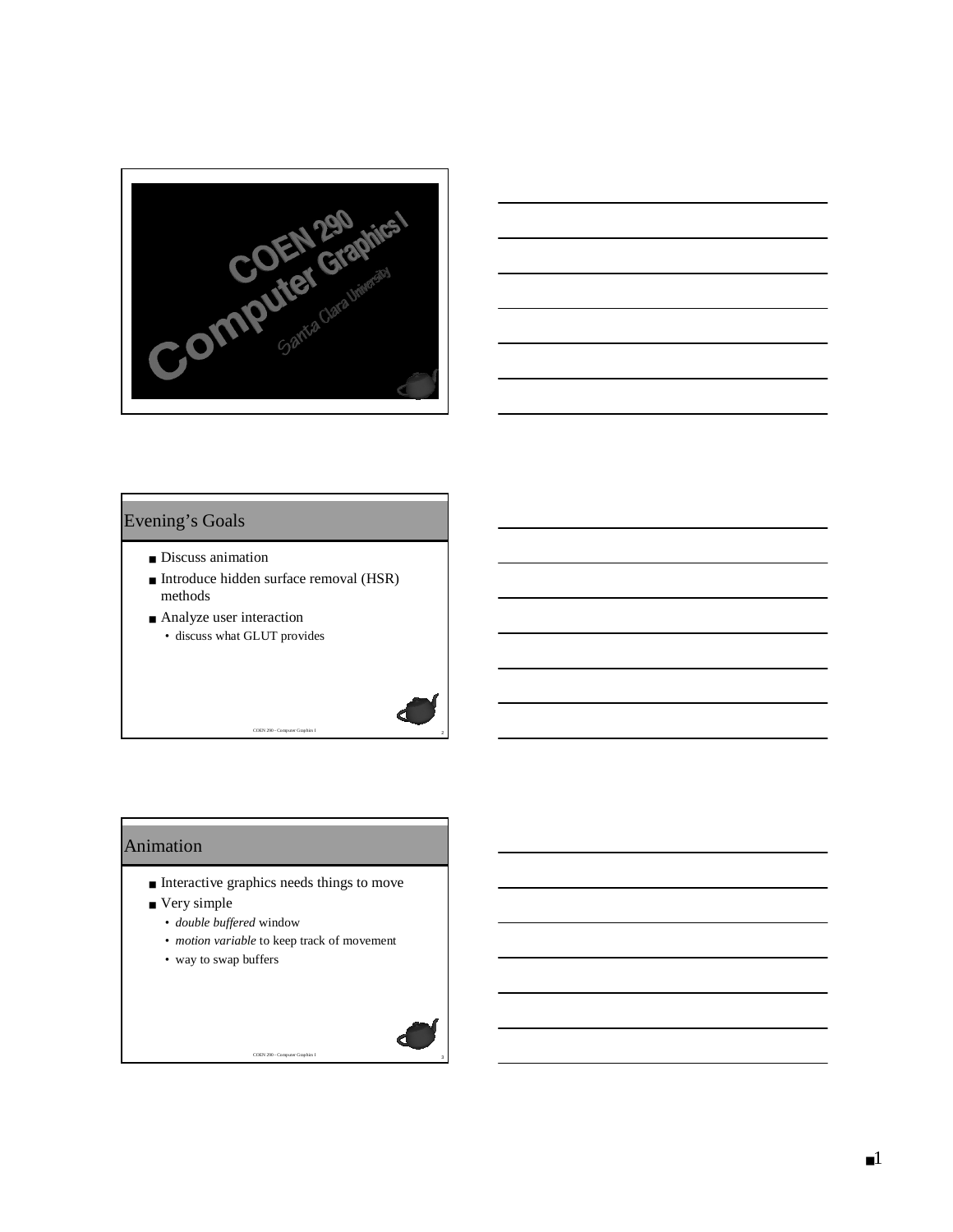



#### Evening's Goals

- Discuss animation
- Introduce hidden surface removal (HSR) methods

<sup>2</sup> COEN 290 - Computer Graphics I

■ Analyze user interaction • discuss what GLUT provides

#### Animation

- Interactive graphics needs things to move
- Very simple
	- *double buffered* window
	- *motion variable* to keep track of movement

<sup>3</sup> COEN 290 - Computer Graphics I

• way to swap buffers

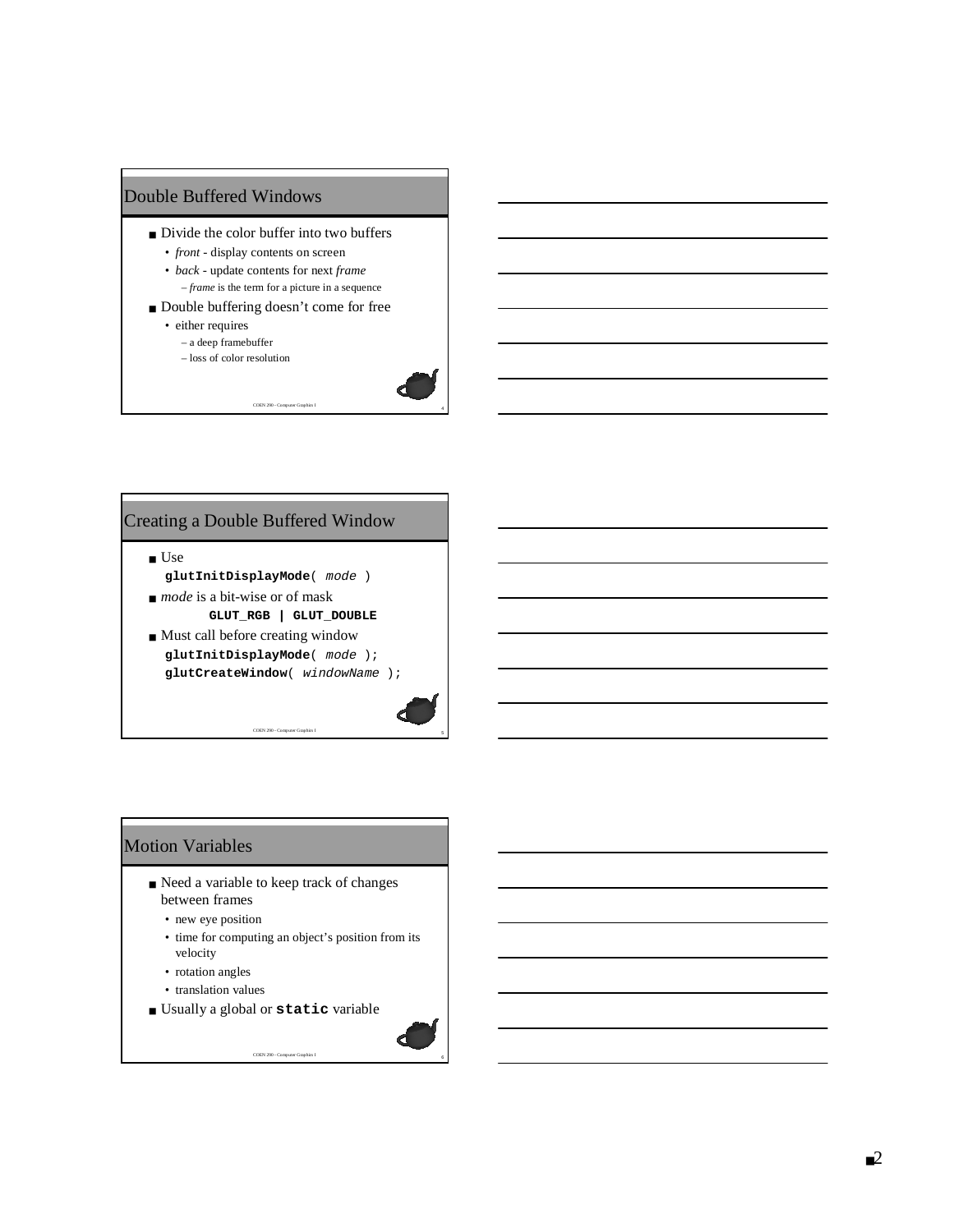

- Divide the color buffer into two buffers
	- *front -* display contents on screen
	- *back* update contents for next *frame* – *frame* is the term for a picture in a sequence

<sup>4</sup> COEN 290 - Computer Graphics I

- Double buffering doesn't come for free
	- either requires
		- a deep framebuffer
		- loss of color resolution



#### Creating a Double Buffered Window

- Use **glutInitDisplayMode**( mode )
- *mode* is a bit-wise or of mask **GLUT\_RGB | GLUT\_DOUBLE**
- Must call before creating window **glutInitDisplayMode**( mode ); **glutCreateWindow**( windowName );

<sup>5</sup> COEN 290 - Computer Graphics I

## Motion Variables

- Need a variable to keep track of changes between frames
	- new eye position
	- time for computing an object's position from its velocity
	- rotation angles
	- translation values
- Usually a global or **static** variable

<sup>6</sup> COEN 290 - Computer Graphics I

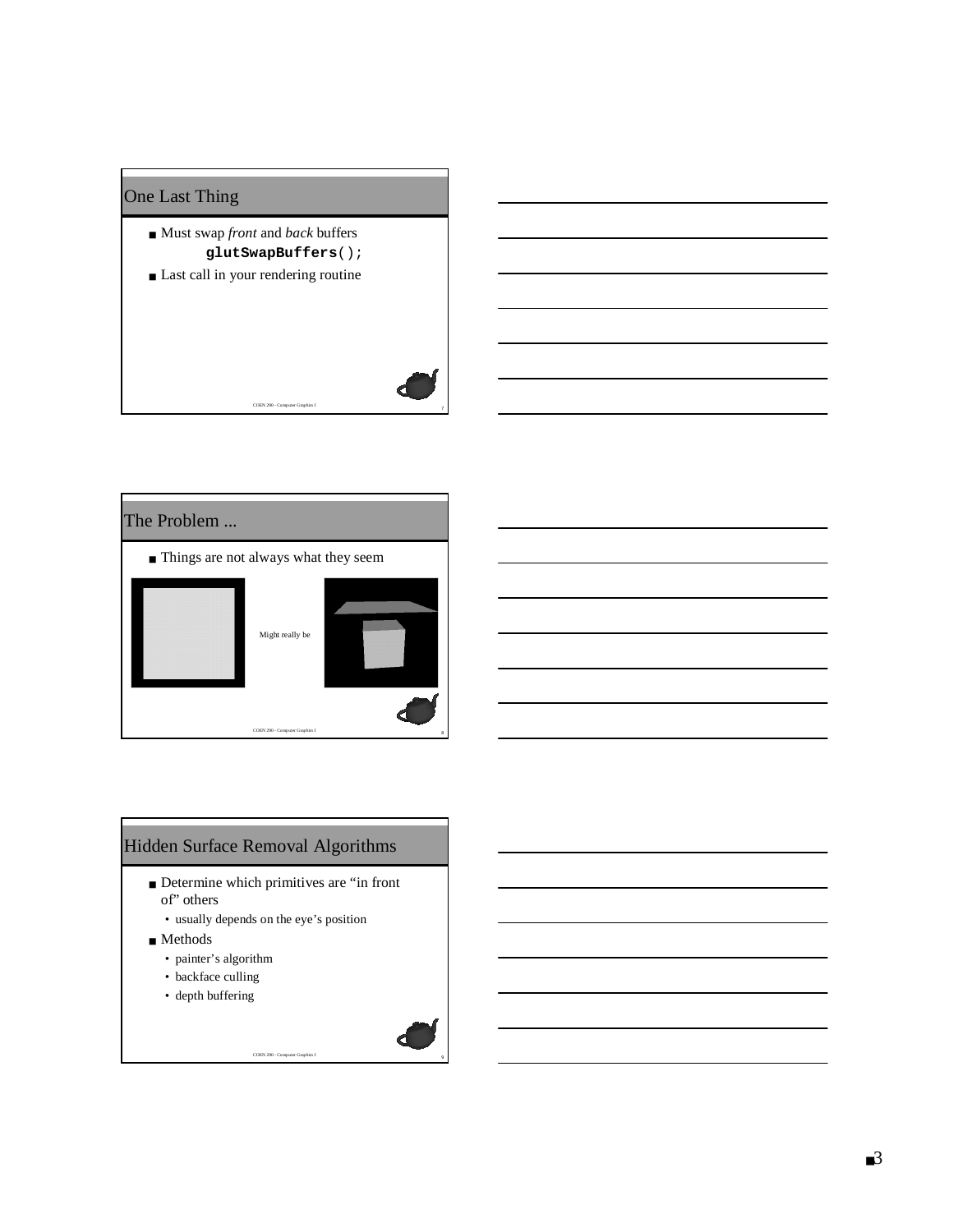## One Last Thing

- Must swap *front* and *back* buffers **glutSwapBuffers**();
- Last call in your rendering routine



<sup>7</sup> COEN 290 - Computer Graphics I

# Hidden Surface Removal Algorithms

■ Determine which primitives are "in front of" others

<sup>9</sup> COEN 290 - Computer Graphics I

- usually depends on the eye's position
- Methods
	- painter's algorithm
	- backface culling
	- depth buffering

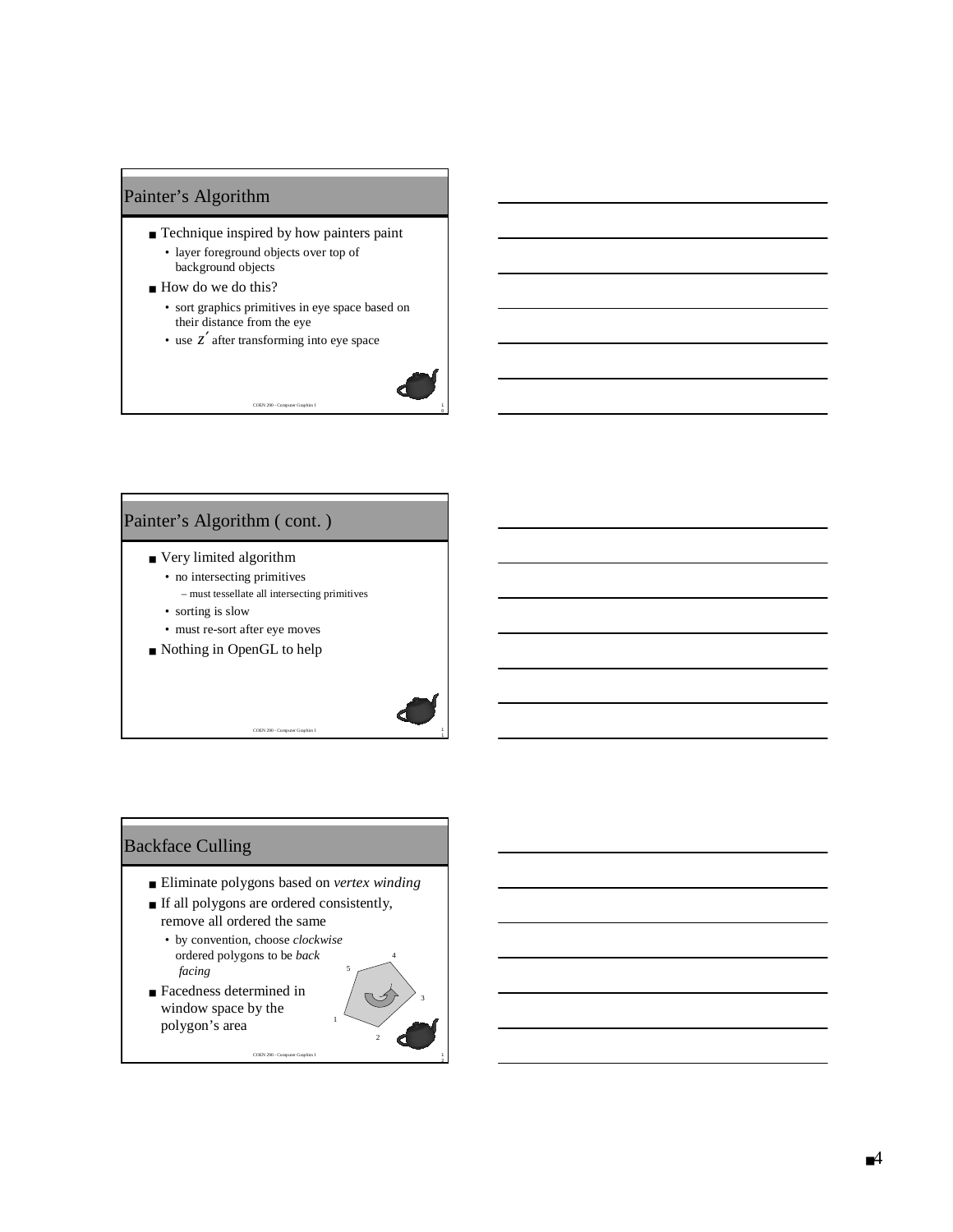#### Painter's Algorithm

- Technique inspired by how painters paint
	- layer foreground objects over top of background objects
- How do we do this?
	- sort graphics primitives in eye space based on their distance from the eye

COEN 290 - Computer Graphics I

• use  $z'$  after transforming into eye space



1

2

#### Painter's Algorithm ( cont. )

- Very limited algorithm
	- no intersecting primitives
	- must tessellate all intersecting primitives • sorting is slow
	- must re-sort after eye moves
- Nothing in OpenGL to help



■ Eliminate polygons based on *vertex winding*

COEN 290 - Computer Graphics I

COEN 290 - Computer Graphics I

- If all polygons are ordered consistently, remove all ordered the same
	- by convention, choose *clockwise* ordered polygons to be *back facing*
- Facedness determined in window space by the polygon's area

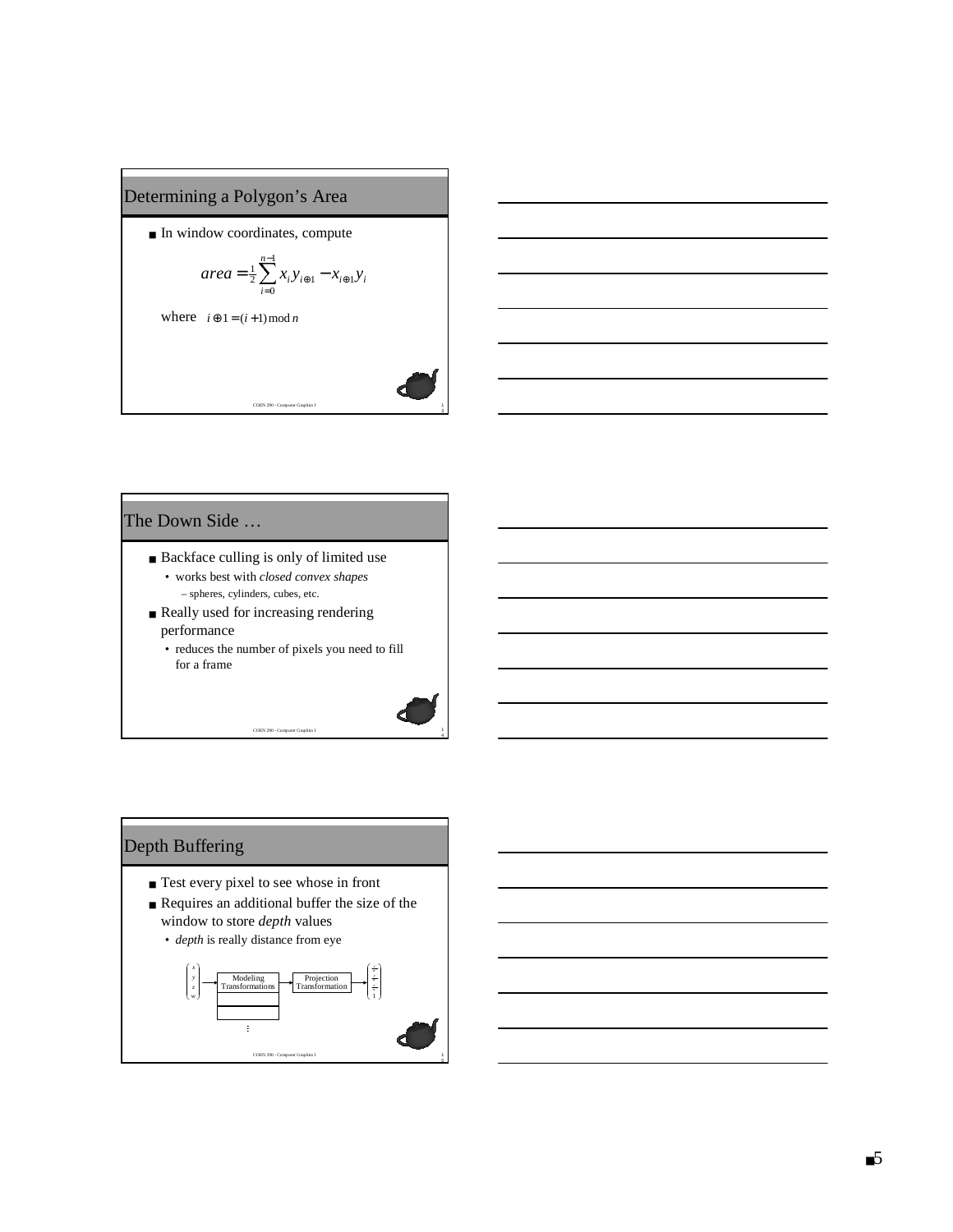#### Determining a Polygon's Area

■ In window coordinates, compute

$$
area = \frac{1}{2} \sum_{i=0}^{n-1} x_i y_{i \oplus 1} - x_{i \oplus 1} y_i
$$

COEN 290 - Computer Graphics I

where  $i \oplus 1 = (i+1) \mod n$ 

#### The Down Side …

- Backface culling is only of limited use • works best with *closed convex shapes*
	- spheres, cylinders, cubes, etc.
- Really used for increasing rendering performance
	- reduces the number of pixels you need to fill for a frame

COEN 290 - Computer Graphics I



3

## Depth Buffering

- Test every pixel to see whose in front
- $\blacksquare$  <br> Requires an additional buffer the size of the window to store *depth* values
	- *depth* is really distance from eye

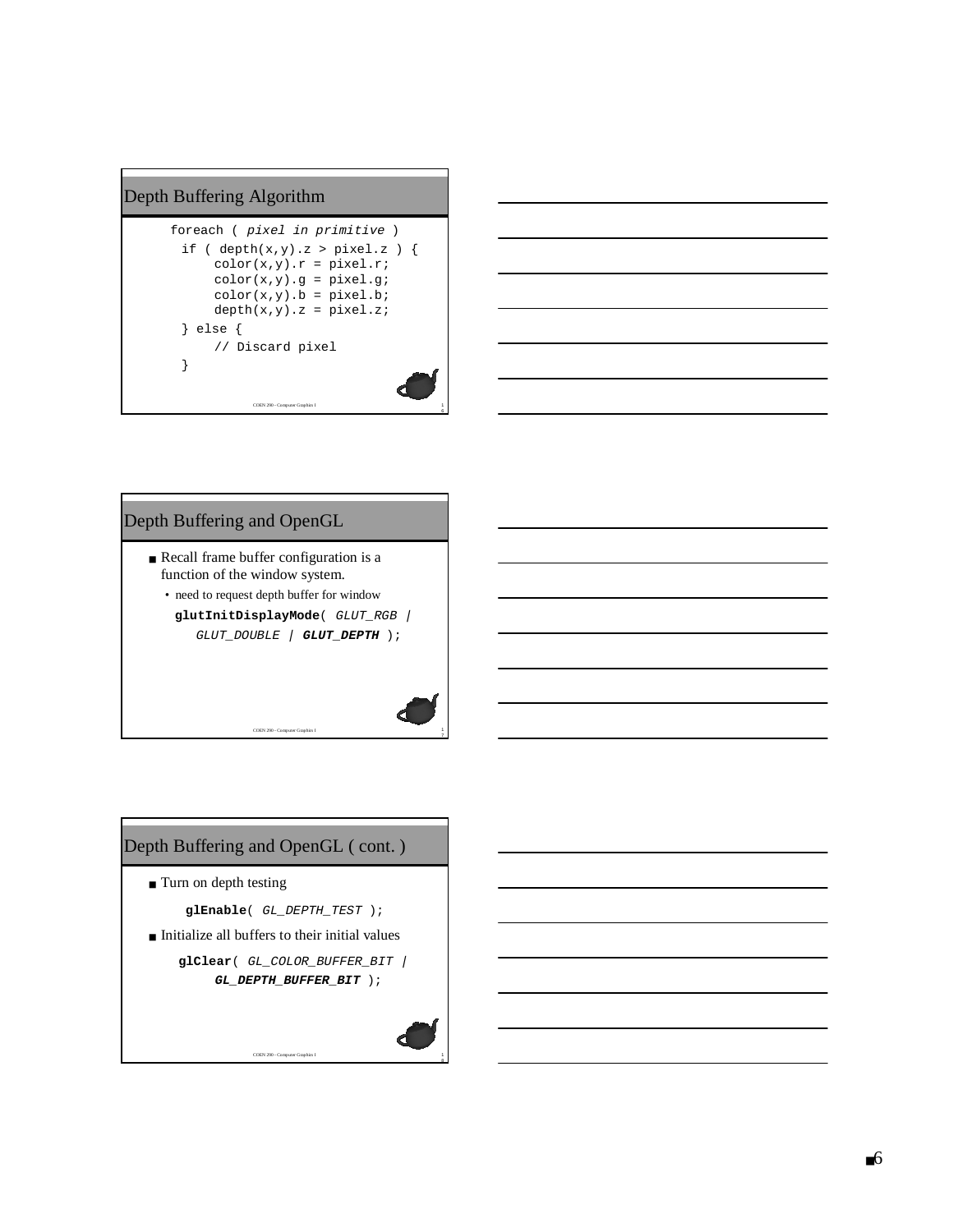#### Depth Buffering Algorithm

```
COEN 290 - Computer Graphics I
foreach ( pixel in primitive )
 if ( depth(x,y).z > pixel.z ) {
      color(x,y).r = pixel.r;
      color(x,y).g = pixel.g;color(x,y).b = pixel.bdepth(x,y).z = pixel.z;} else {
      // Discard pixel
 }
```


# Depth Buffering and OpenGL

- Recall frame buffer configuration is a function of the window system.
	- need to request depth buffer for window
		- **glutInitDisplayMode**( GLUT\_RGB | GLUT\_DOUBLE | **GLUT\_DEPTH** );

COEN 290 - Computer Graphics I



**glClear**( GL\_COLOR\_BUFFER\_BIT | **GL\_DEPTH\_BUFFER\_BIT** );

COEN 290 - Computer Graphics I



8

6

7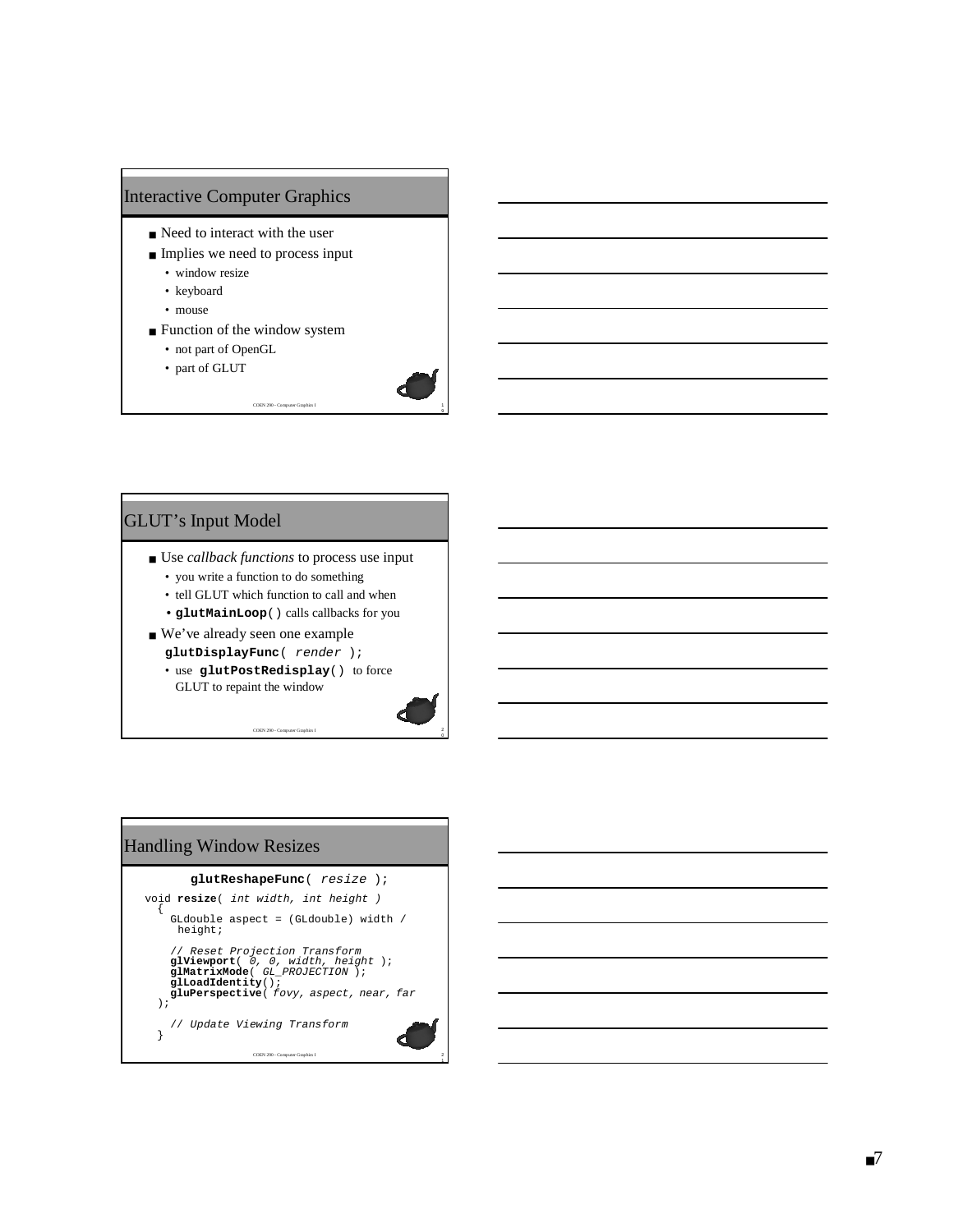#### Interactive Computer Graphics

- Need to interact with the user
- Implies we need to process input
	- window resize
	- keyboard
	- mouse
- Function of the window system
	- not part of OpenGL
	- part of GLUT



■ Use *callback functions* to process use input

COEN 290 - Computer Graphics I

9

0

2 1

- you write a function to do something
- tell GLUT which function to call and when • **glutMainLoop**() calls callbacks for you
- We've already seen one example **glutDisplayFunc**( render );
	- use **glutPostRedisplay**() to force GLUT to repaint the window

COEN 290 - Computer Graphics I

Handling Window Resizes

```
glutReshapeFunc( resize );
```

```
COEN 290 - Computer Graphics I
void resize( int width, int height )
{
     GLdouble aspect = (GLdouble) width /
       height;
   // Reset Projection Transform
glViewport( 0, 0, width, height );
glMatrixMode( GL_PROJECTION );
glLoadIdentity();
gluPerspective( fovy, aspect, near, far
);
      // Update Viewing Transform
  }
```
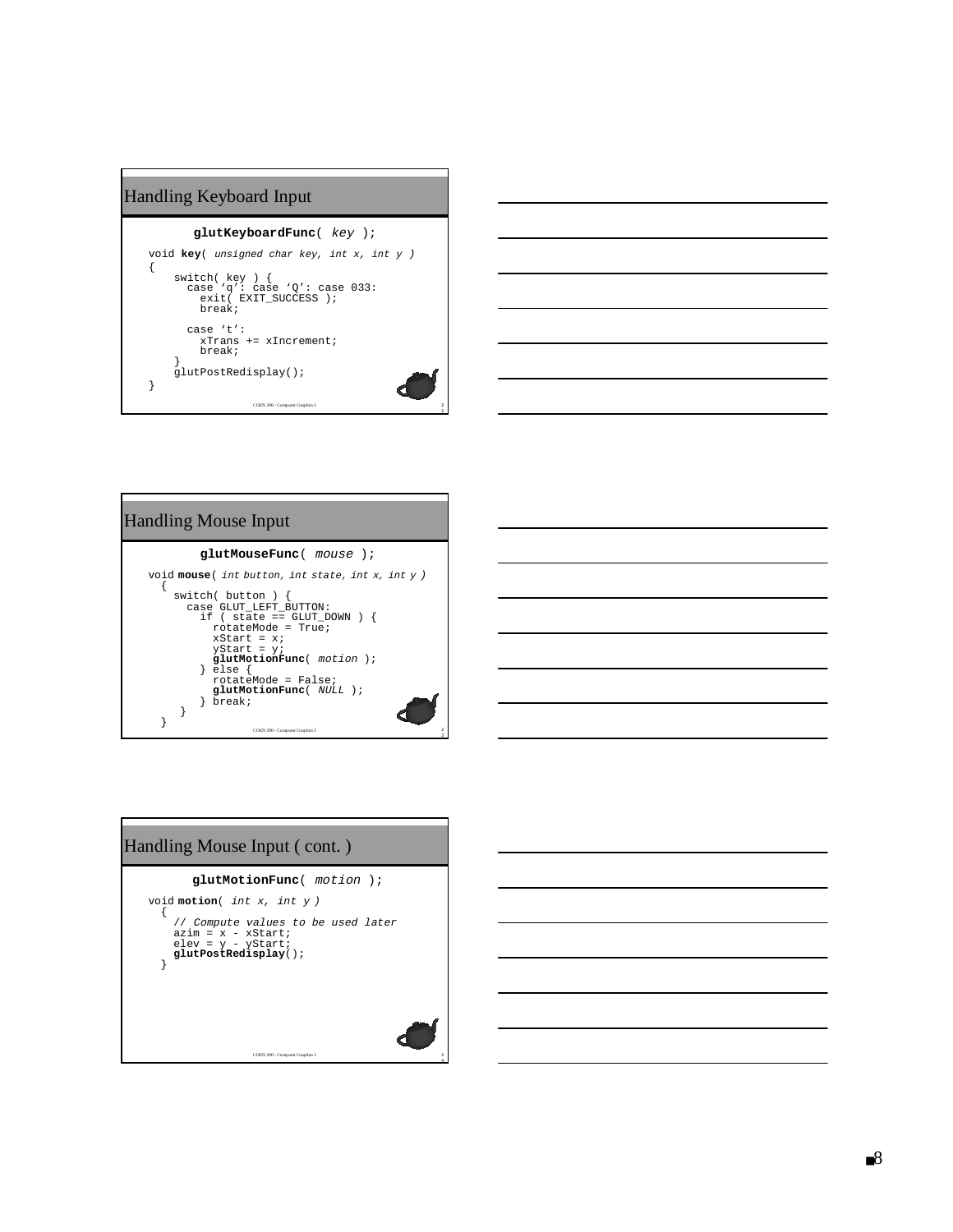## COEN 290 - Computer Graphics I Handling Keyboard Input **glutKeyboardFunc** ( key ); void **key** ( unsigned char key, int x, int <sup>y</sup> ) { switch( key ) { case 'q': case 'Q': case 033: exit( EXIT\_SUCCESS ); break; case 't': xTrans += xIncrement; break; } glutPostRedisplay(); }

 $\frac{2}{2}$ 



# 2<br>3 COEN 290 - Computer Graphics I Handling Mouse Input **glutMouseFunc** ( mouse ); void mouse (int button, int state, int x, int y ) { switch( button ) { case GLUT\_LEFT\_BUTTON: if ( state == GLUT\_DOWN ) { rotateMode = True; xStart = x; yStart = y; **glutMotionFunc**( motion );<br>} else {<br>rotateMode = False;<br>**glutMotionFunc**( *NULL* );<br>} break; } }